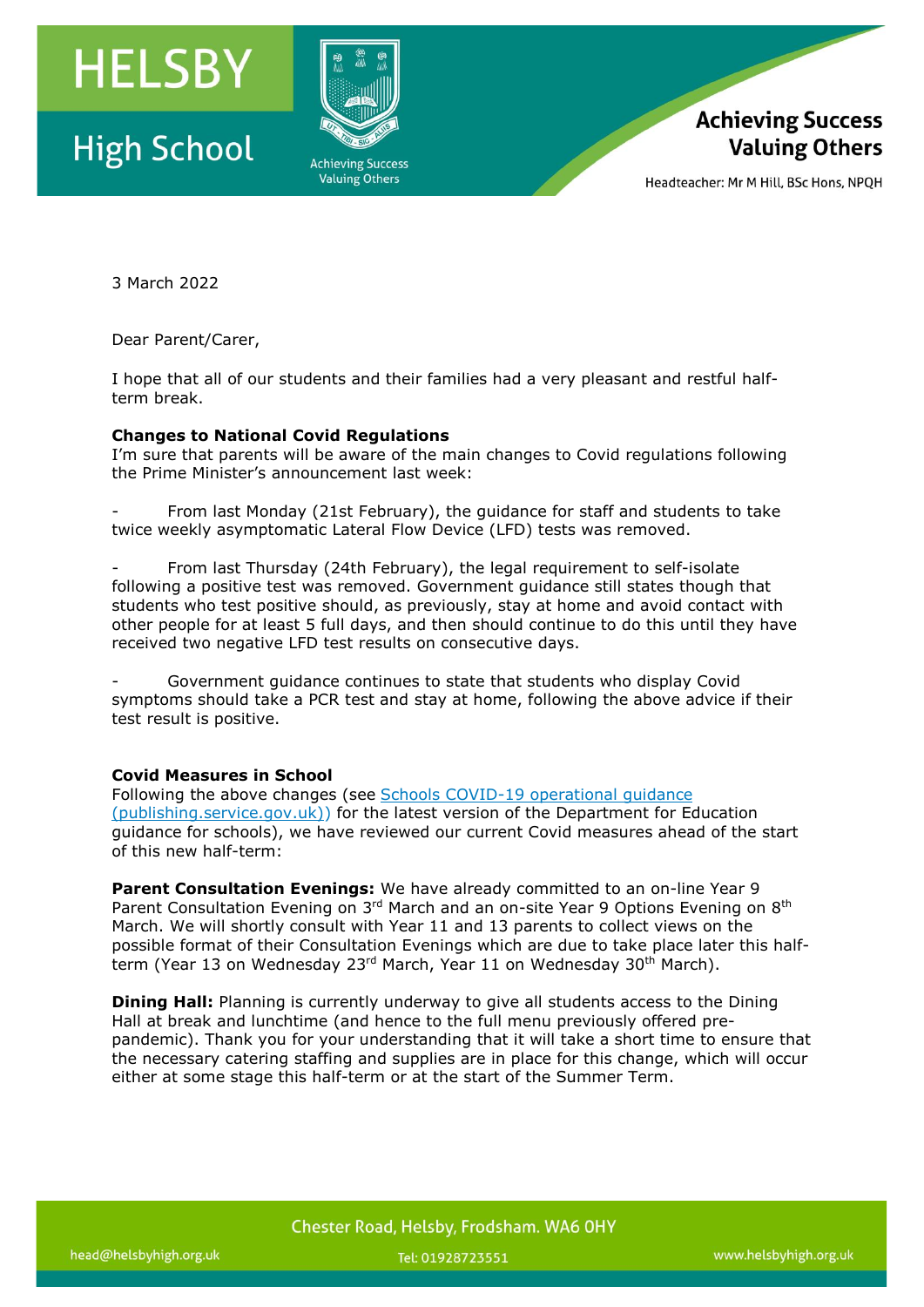

## **High School**





Headteacher: Mr M Hill, BSc Hons, NPOH

3 March 2022

Dear Parent/Carer,

I hope that all of our students and their families had a very pleasant and restful halfterm break.

## **Changes to National Covid Regulations**

I'm sure that parents will be aware of the main changes to Covid regulations following the Prime Minister's announcement last week:

From last Monday (21st February), the guidance for staff and students to take twice weekly asymptomatic Lateral Flow Device (LFD) tests was removed.

From last Thursday (24th February), the legal requirement to self-isolate following a positive test was removed. Government guidance still states though that students who test positive should, as previously, stay at home and avoid contact with other people for at least 5 full days, and then should continue to do this until they have received two negative LFD test results on consecutive days.

- Government guidance continues to state that students who display Covid symptoms should take a PCR test and stay at home, following the above advice if their test result is positive.

## **Covid Measures in School**

Following the above changes (see Schools COVID-19 [operational](https://assets.publishing.service.gov.uk/government/uploads/system/uploads/attachment_data/file/1057106/220224_Schools_guidance.pdf) guidance [\(publishing.service.gov.uk\)\)](https://assets.publishing.service.gov.uk/government/uploads/system/uploads/attachment_data/file/1057106/220224_Schools_guidance.pdf) for the latest version of the Department for Education guidance for schools), we have reviewed our current Covid measures ahead of the start of this new half-term:

**Parent Consultation Evenings:** We have already committed to an on-line Year 9 Parent Consultation Evening on 3<sup>rd</sup> March and an on-site Year 9 Options Evening on 8<sup>th</sup> March. We will shortly consult with Year 11 and 13 parents to collect views on the possible format of their Consultation Evenings which are due to take place later this halfterm (Year 13 on Wednesday 23<sup>rd</sup> March, Year 11 on Wednesday 30<sup>th</sup> March).

**Dining Hall:** Planning is currently underway to give all students access to the Dining Hall at break and lunchtime (and hence to the full menu previously offered prepandemic). Thank you for your understanding that it will take a short time to ensure that the necessary catering staffing and supplies are in place for this change, which will occur either at some stage this half-term or at the start of the Summer Term.

Chester Road, Helsby, Frodsham. WA6 OHY

Tel: 01928723551